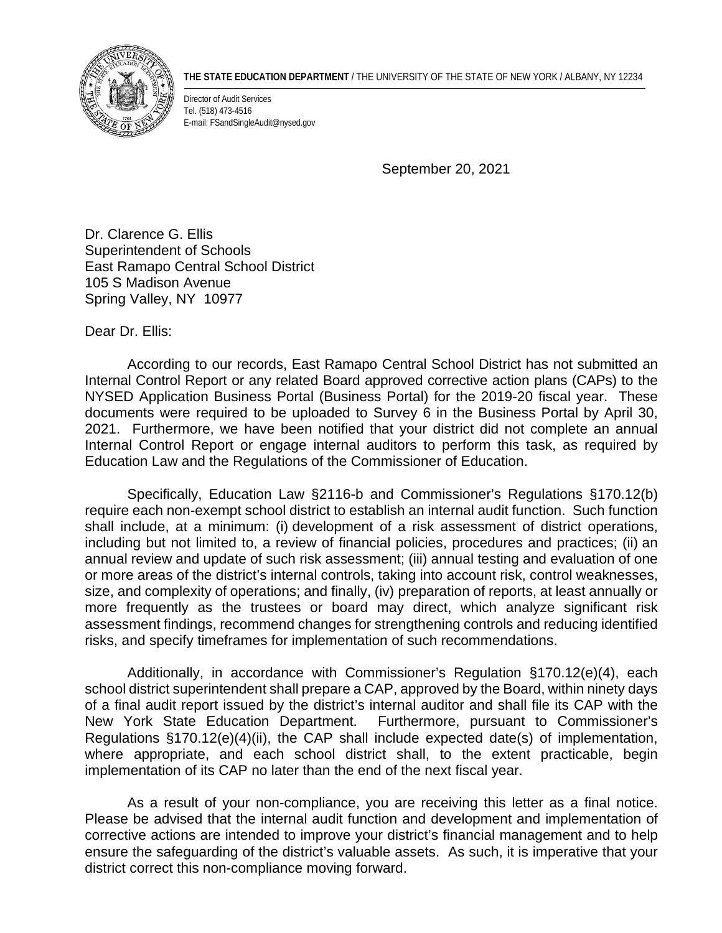

## **THE STATE EDUCATION DEPARTMENT** / THE UNIVERSITY OF THE STATE OF NEW YORK / ALBANY, NY 12234

Director of Audit Services Tel. (518) 473-4516 E-mail: FSandSingleAudit@nysed.gov

September 20, 2021

Dr. Clarence G. Ellis Superintendent of Schools East Ramapo Central School District 105 S Madison Avenue Spring Valley, NY 10977

Dear Dr. Ellis:

According to our records, East Ramapo Central School District has not submitted an Internal Control Report or any related Board approved corrective action plans (CAPs) to the NYSED Application Business Portal (Business Portal) for the 2019-20 fiscal year. These documents were required to be uploaded to Survey 6 in the Business Portal by April 30, 2021. Furthermore, we have been notified that your district did not complete an annual Internal Control Report or engage internal auditors to perform this task, as required by Education Law and the Regulations of the Commissioner of Education.

Specifically, Education Law §2116-b and Commissioner's Regulations §170.12(b) require each non-exempt school district to establish an internal audit function. Such function shall include, at a minimum: (i) development of a risk assessment of district operations, including but not limited to, a review of financial policies, procedures and practices; (ii) an annual review and update of such risk assessment; (iii) annual testing and evaluation of one or more areas of the district's internal controls, taking into account risk, control weaknesses, size, and complexity of operations; and finally, (iv) preparation of reports, at least annually or more frequently as the trustees or board may direct, which analyze significant risk assessment findings, recommend changes for strengthening controls and reducing identified risks, and specify timeframes for implementation of such recommendations.

Additionally, in accordance with Commissioner's Regulation §170.12(e)(4), each school district superintendent shall prepare a CAP, approved by the Board, within ninety days of a final audit report issued by the district's internal auditor and shall file its CAP with the New York State Education Department. Furthermore, pursuant to Commissioner's Regulations §170.12(e)(4)(ii), the CAP shall include expected date(s) of implementation, where appropriate, and each school district shall, to the extent practicable, begin implementation of its CAP no later than the end of the next fiscal year.

As a result of your non-compliance, you are receiving this letter as a final notice. Please be advised that the internal audit function and development and implementation of corrective actions are intended to improve your district's financial management and to help ensure the safeguarding of the district's valuable assets. As such, it is imperative that your district correct this non-compliance moving forward.